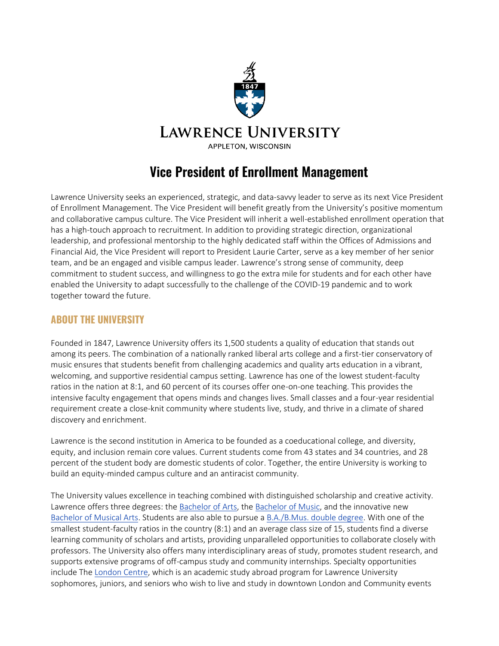

# **Vice President of Enrollment Management**

Lawrence University seeks an experienced, strategic, and data-savvy leader to serve as its next Vice President of Enrollment Management. The Vice President will benefit greatly from the University's positive momentum and collaborative campus culture. The Vice President will inherit a well-established enrollment operation that has a high-touch approach to recruitment. In addition to providing strategic direction, organizational leadership, and professional mentorship to the highly dedicated staff within the Offices of Admissions and Financial Aid, the Vice President will report to President Laurie Carter, serve as a key member of her senior team, and be an engaged and visible campus leader. Lawrence's strong sense of community, deep commitment to student success, and willingness to go the extra mile for students and for each other have enabled the University to adapt successfully to the challenge of the COVID-19 pandemic and to work together toward the future.

### **ABOUT THE UNIVERSITY**

Founded in 1847, Lawrence University offers its 1,500 students a quality of education that stands out among its peers. The combination of a nationally ranked liberal arts college and a first-tier conservatory of music ensures that students benefit from challenging academics and quality arts education in a vibrant, welcoming, and supportive residential campus setting. Lawrence has one of the lowest student-faculty ratios in the nation at 8:1, and 60 percent of its courses offer one-on-one teaching. This provides the intensive faculty engagement that opens minds and changes lives. Small classes and a four-year residential requirement create a close-knit community where students live, study, and thrive in a climate of shared discovery and enrichment.

Lawrence is the second institution in America to be founded as a coeducational college, and diversity, equity, and inclusion remain core values. Current students come from 43 states and 34 countries, and 28 percent of the student body are domestic students of color. Together, the entire University is working to build an equity-minded campus culture and an antiracist community.

The University values excellence in teaching combined with distinguished scholarship and creative activity. Lawrence offers three degrees: the [Bachelor of Arts,](https://www.lawrence.edu/academics/degrees/bachelor_of_arts) the [Bachelor of Music,](https://www.lawrence.edu/academics/degrees/bachelor_of_music) and the innovative new [Bachelor of Musical Arts.](https://www.lawrence.edu/conservatory/degrees/bachelor-of-musical-arts-degree) Students are also able to pursue a [B.A./B.Mus. double degree.](https://www.lawrence.edu/conservatory/degrees/five-year-double-degree) With one of the smallest student-faculty ratios in the country (8:1) and an average class size of 15, students find a diverse learning community of scholars and artists, providing unparalleled opportunities to collaborate closely with professors. The University also offers many interdisciplinary areas of study, promotes student research, and supports extensive programs of off-campus study and community internships. Specialty opportunities include The [London Centre,](https://www.lawrence.edu/academics/off-campus/london_centre) which is an academic study abroad program for Lawrence University sophomores, juniors, and seniors who wish to live and study in downtown London and Community events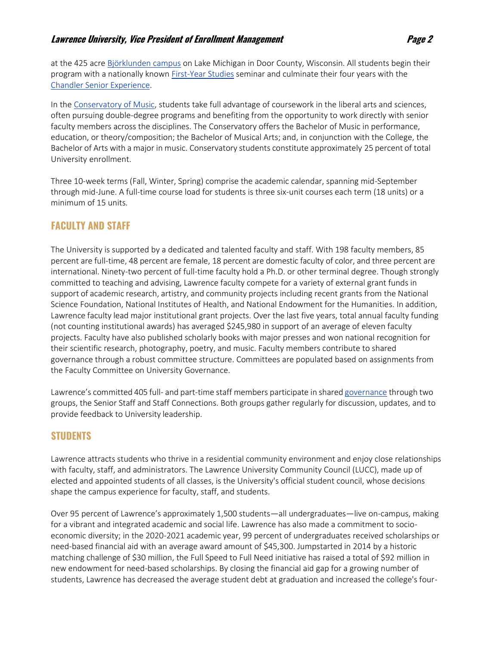#### **Lawrence University, Vice President of Enrollment Management Property Results and Property Page 2**

at the 425 acre [Björklunden campus](https://www.lawrence.edu/s/bjorklunden) on Lake Michigan in Door County, Wisconsin. All students begin their program with a nationally know[n First-Year](https://www.lawrence.edu/academics/study/freshman_studies) [Studies](https://www.lawrence.edu/academics/study/freshman_studies) seminar and culminate their four years with the [Chandler Senior Experience.](https://www.lawrence.edu/academics/senior_experience)

In th[e Conservatory of Music,](https://www.lawrence.edu/conservatory) students take full advantage of coursework in the liberal arts and sciences, often pursuing double-degree programs and benefiting from the opportunity to work directly with senior faculty members across the disciplines. The Conservatory offers the Bachelor of Music in performance, education, or theory/composition; the Bachelor of Musical Arts; and, in conjunction with the College, the Bachelor of Arts with a major in music. Conservatory students constitute approximately 25 percent of total University enrollment.

Three 10-week terms (Fall, Winter, Spring) comprise the academic calendar, spanning mid-September through mid-June. A full-time course load for students is three six-unit courses each term (18 units) or a minimum of 15 units.

### **FACULTY AND STAFF**

The University is supported by a dedicated and talented faculty and staff. With 198 faculty members, 85 percent are full-time, 48 percent are female, 18 percent are domestic faculty of color, and three percent are international. Ninety-two percent of full-time faculty hold a Ph.D. or other terminal degree. Though strongly committed to teaching and advising, Lawrence faculty compete for a variety of external grant funds in support of academic research, artistry, and community projects including recent grants from the National Science Foundation, National Institutes of Health, and National Endowment for the Humanities. In addition, Lawrence faculty lead major institutional grant projects. Over the last five years, total annual faculty funding (not counting institutional awards) has averaged \$245,980 in support of an average of eleven faculty projects. Faculty have also published scholarly books with major presses and won national recognition for their scientific research, photography, poetry, and music. Faculty members contribute to shared governance through a robust committee structure. Committees are populated based on assignments from the Faculty Committee on University Governance.

Lawrence's committed 405 full- and part-time staff members participate in shared [governance](https://www.lawrence.edu/info/staff) through two groups, the Senior Staff and Staff Connections. Both groups gather regularly for discussion, updates, and to provide feedback to University leadership.

#### **STUDENTS**

Lawrence attracts students who thrive in a residential community environment and enjoy close relationships with faculty, staff, and administrators. Th[e Lawrence University Community Council](https://www.lawrence.edu/students/activities/lucc) (LUCC), made up of elected and appointed students of all classes, is the University's official student council, whose decisions shape the campus experience for faculty, staff, and students.

Over 95 percent of Lawrence's approximately 1,500 students—all undergraduates—live on-campus, making for a vibrant and integrated academic and social life. Lawrence has also made a commitment to socioeconomic diversity; in the 2020-2021 academic year, 99 percent of undergraduates received scholarships or need-based financial aid with an average award amount of \$45,300. Jumpstarted in 2014 by a historic matching challenge of \$30 million, the [Full Speed to Full Need initiative h](https://bethelight.lawrence.edu/priorities-and-progress/full-speed-full-need)as raised a total of \$92 million in new endowment for need-based scholarships. By closing the financial aid gap for a growing number of students, Lawrence has decreased the average student debt at graduation and increased the college's four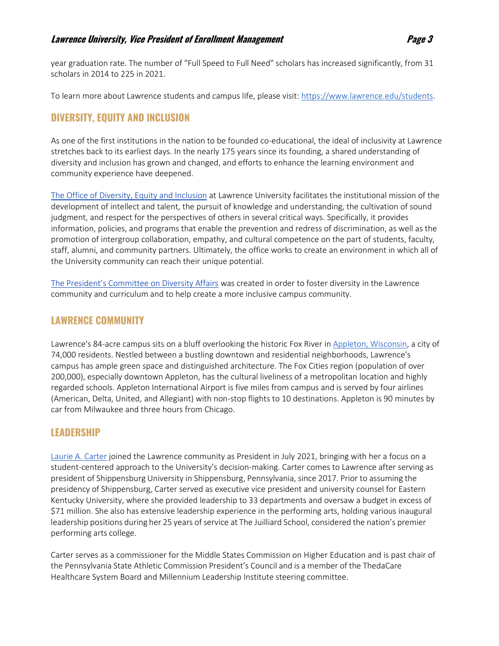year graduation rate. The number of "Full Speed to Full Need" scholars has increased significantly, from 31 scholars in 2014 to 225 in 2021.

To learn more about Lawrence students and campus life, please visit: [https://www.lawrence.edu/students.](https://www.lawrence.edu/students)

# **DIVERSITY, EQUITY AND INCLUSION**

As one of the first institutions in the nation to be founded co-educational, the ideal of inclusivity at Lawrence stretches back to its earliest days. In the nearly 175 years since its founding, a shared understanding of diversity and inclusion has grown and changed, and efforts to enhance the learning environment and community experience have deepened.

[The Office of Diversity, Equity and Inclusion](https://www.lawrence.edu/info/offices/diversity-and-inclusion) at Lawrence University facilitates the institutional mission of the development of intellect and talent, the pursuit of knowledge and understanding, the cultivation of sound judgment, and respect for the perspectives of others in several critical ways. Specifically, it provides information, policies, and programs that enable the prevention and redress of discrimination, as well as the promotion of intergroup collaboration, empathy, and cultural competence on the part of students, faculty, staff, alumni, and community partners. Ultimately, the office works to create an environment in which all of the University community can reach their unique potential.

[The President's Committee on Diversity Affairs](https://www.lawrence.edu/info/offices/diversity-and-inclusion/about-us/president-) was created in order to foster diversity in the Lawrence community and curriculum and to help create a more inclusive campus community.

### **LAWRENCE COMMUNITY**

Lawrence's 84-acre campus sits on a bluff overlooking the historic Fox River i[n Appleton, Wisconsin,](https://www.appleton.org/) a city of 74,000 residents. Nestled between a bustling downtown and residential neighborhoods, Lawrence's campus has ample green space and distinguished architecture. The Fox Cities region (population of over 200,000), especially downtown Appleton, has the cultural liveliness of a metropolitan location and highly regarded schools. Appleton International Airport is five miles from campus and is served by four airlines (American, Delta, United, and Allegiant) with non-stop flights to 10 destinations. Appleton is 90 minutes by car from Milwaukee and three hours from Chicago.

# **LEADERSHIP**

[Laurie A. Carter](https://www.lawrence.edu/admissions/about/president/president-bio) joined the Lawrence community as President in July 2021, bringing with her a focus on a student-centered approach to the University's decision-making. Carter comes to Lawrence after serving as president of Shippensburg University in Shippensburg, Pennsylvania, since 2017. Prior to assuming the presidency of Shippensburg, Carter served as executive vice president and university counsel for Eastern Kentucky University, where she provided leadership to 33 departments and oversaw a budget in excess of \$71 million. She also has extensive leadership experience in the performing arts, holding various inaugural leadership positions during her 25 years of service at The Juilliard School, considered the nation's premier performing arts college.

Carter serves as a commissioner for the Middle States Commission on Higher Education and is past chair of the Pennsylvania State Athletic Commission President's Council and is a member of the ThedaCare Healthcare System Board and Millennium Leadership Institute steering committee.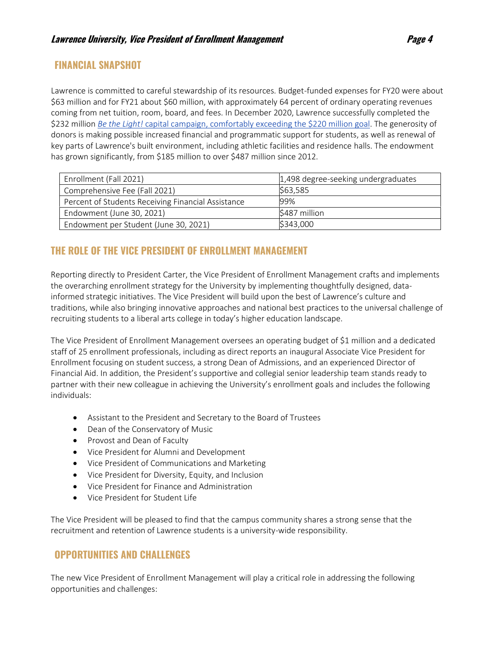### **FINANCIAL SNAPSHOT**

Lawrence is committed to careful stewardship of its resources. Budget-funded expenses for FY20 were about \$63 million and for FY21 about \$60 million, with approximately 64 percent of ordinary operating revenues coming from net tuition, room, board, and fees. In December 2020, Lawrence successfully completed the \$232 million *Be the Light!* [capital campaign,](https://bethelight.lawrence.edu/) comfortably exceeding the \$220 million goal. The generosity of donors is making possible increased financial and programmatic support for students, as well as renewal of key parts of Lawrence's built environment, including athletic facilities and residence halls. The endowment has grown significantly, from \$185 million to over \$487 million since 2012.

| Enrollment (Fall 2021)                             | 1,498 degree-seeking undergraduates |
|----------------------------------------------------|-------------------------------------|
| Comprehensive Fee (Fall 2021)                      | \$63,585                            |
| Percent of Students Receiving Financial Assistance | 99%                                 |
| Endowment (June 30, 2021)                          | \$487 million                       |
| Endowment per Student (June 30, 2021)              | \$343,000                           |

# **THE ROLE OF THE VICE PRESIDENT OF ENROLLMENT MANAGEMENT**

Reporting directly to President Carter, the Vice President of Enrollment Management crafts and implements the overarching enrollment strategy for the University by implementing thoughtfully designed, datainformed strategic initiatives. The Vice President will build upon the best of Lawrence's culture and traditions, while also bringing innovative approaches and national best practices to the universal challenge of recruiting students to a liberal arts college in today's higher education landscape.

The Vice President of Enrollment Management oversees an operating budget of \$1 million and a dedicated staff of 25 enrollment professionals, including as direct reports an inaugural Associate Vice President for Enrollment focusing on student success, a strong Dean of Admissions, and an experienced Director of Financial Aid. In addition, the President's supportive and collegial senior leadership team stands ready to partner with their new colleague in achieving the University's enrollment goals and includes the following individuals:

- Assistant to the President and Secretary to the Board of Trustees
- Dean of the Conservatory of Music
- Provost and Dean of Faculty
- Vice President for Alumni and Development
- Vice President of Communications and Marketing
- Vice President for Diversity, Equity, and Inclusion
- Vice President for Finance and Administration
- Vice President for Student Life

The Vice President will be pleased to find that the campus community shares a strong sense that the recruitment and retention of Lawrence students is a university-wide responsibility.

# **OPPORTUNITIES AND CHALLENGES**

The new Vice President of Enrollment Management will play a critical role in addressing the following opportunities and challenges: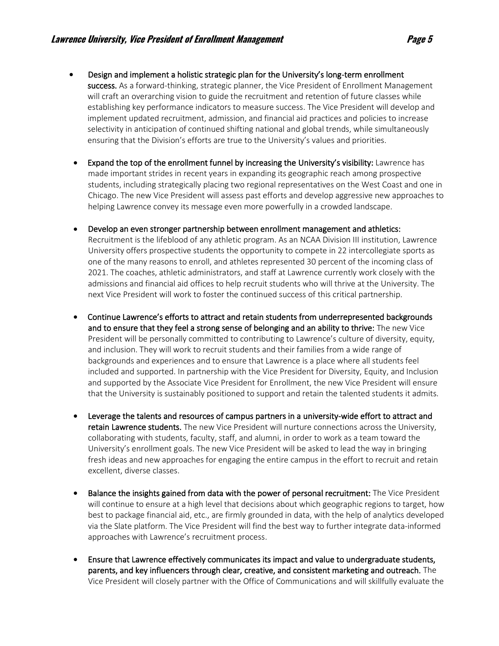- Design and implement a holistic strategic plan for the University's long-term enrollment success. As a forward-thinking, strategic planner, the Vice President of Enrollment Management will craft an overarching vision to guide the recruitment and retention of future classes while establishing key performance indicators to measure success. The Vice President will develop and implement updated recruitment, admission, and financial aid practices and policies to increase selectivity in anticipation of continued shifting national and global trends, while simultaneously ensuring that the Division's efforts are true to the University's values and priorities.
- Expand the top of the enrollment funnel by increasing the University's visibility: Lawrence has made important strides in recent years in expanding its geographic reach among prospective students, including strategically placing two regional representatives on the West Coast and one in Chicago. The new Vice President will assess past efforts and develop aggressive new approaches to helping Lawrence convey its message even more powerfully in a crowded landscape.
- Develop an even stronger partnership between enrollment management and athletics: Recruitment is the lifeblood of any athletic program. As an NCAA Division III institution, Lawrence University offers prospective students the opportunity to compete in 22 intercollegiate sports as one of the many reasons to enroll, and athletes represented 30 percent of the incoming class of 2021. The coaches, athletic administrators, and staff at Lawrence currently work closely with the admissions and financial aid offices to help recruit students who will thrive at the University. The next Vice President will work to foster the continued success of this critical partnership.
- Continue Lawrence's efforts to attract and retain students from underrepresented backgrounds and to ensure that they feel a strong sense of belonging and an ability to thrive: The new Vice President will be personally committed to contributing to Lawrence's culture of diversity, equity, and inclusion. They will work to recruit students and their families from a wide range of backgrounds and experiences and to ensure that Lawrence is a place where all students feel included and supported. In partnership with the Vice President for Diversity, Equity, and Inclusion and supported by the Associate Vice President for Enrollment, the new Vice President will ensure that the University is sustainably positioned to support and retain the talented students it admits.
- Leverage the talents and resources of campus partners in a university-wide effort to attract and retain Lawrence students. The new Vice President will nurture connections across the University, collaborating with students, faculty, staff, and alumni, in order to work as a team toward the University's enrollment goals. The new Vice President will be asked to lead the way in bringing fresh ideas and new approaches for engaging the entire campus in the effort to recruit and retain excellent, diverse classes.
- Balance the insights gained from data with the power of personal recruitment: The Vice President will continue to ensure at a high level that decisions about which geographic regions to target, how best to package financial aid, etc., are firmly grounded in data, with the help of analytics developed via the Slate platform. The Vice President will find the best way to further integrate data-informed approaches with Lawrence's recruitment process.
- Ensure that Lawrence effectively communicates its impact and value to undergraduate students, parents, and key influencers through clear, creative, and consistent marketing and outreach. The Vice President will closely partner with the Office of Communications and will skillfully evaluate the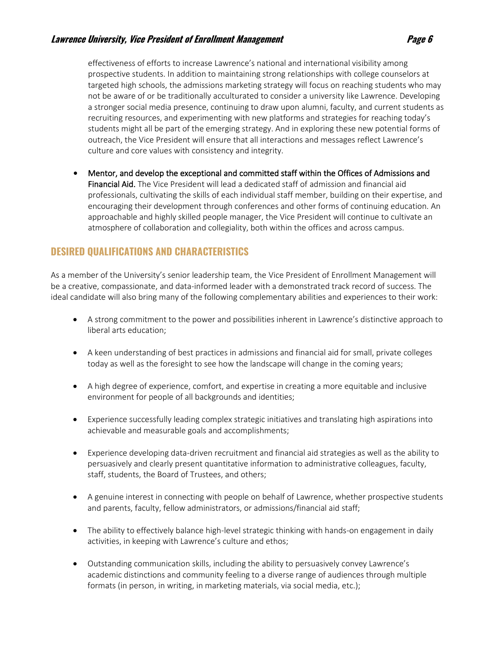#### **Lawrence University, Vice President of Enrollment Management Page 6**

effectiveness of efforts to increase Lawrence's national and international visibility among prospective students. In addition to maintaining strong relationships with college counselors at targeted high schools, the admissions marketing strategy will focus on reaching students who may not be aware of or be traditionally acculturated to consider a university like Lawrence. Developing a stronger social media presence, continuing to draw upon alumni, faculty, and current students as recruiting resources, and experimenting with new platforms and strategies for reaching today's students might all be part of the emerging strategy. And in exploring these new potential forms of outreach, the Vice President will ensure that all interactions and messages reflect Lawrence's culture and core values with consistency and integrity.

• Mentor, and develop the exceptional and committed staff within the Offices of Admissions and Financial Aid. The Vice President will lead a dedicated staff of admission and financial aid professionals, cultivating the skills of each individual staff member, building on their expertise, and encouraging their development through conferences and other forms of continuing education. An approachable and highly skilled people manager, the Vice President will continue to cultivate an atmosphere of collaboration and collegiality, both within the offices and across campus.

# **DESIRED QUALIFICATIONS AND CHARACTERISTICS**

As a member of the University's senior leadership team, the Vice President of Enrollment Management will be a creative, compassionate, and data-informed leader with a demonstrated track record of success. The ideal candidate will also bring many of the following complementary abilities and experiences to their work:

- A strong commitment to the power and possibilities inherent in Lawrence's distinctive approach to liberal arts education;
- A keen understanding of best practices in admissions and financial aid for small, private colleges today as well as the foresight to see how the landscape will change in the coming years;
- A high degree of experience, comfort, and expertise in creating a more equitable and inclusive environment for people of all backgrounds and identities;
- Experience successfully leading complex strategic initiatives and translating high aspirations into achievable and measurable goals and accomplishments;
- Experience developing data-driven recruitment and financial aid strategies as well as the ability to persuasively and clearly present quantitative information to administrative colleagues, faculty, staff, students, the Board of Trustees, and others;
- A genuine interest in connecting with people on behalf of Lawrence, whether prospective students and parents, faculty, fellow administrators, or admissions/financial aid staff;
- The ability to effectively balance high-level strategic thinking with hands-on engagement in daily activities, in keeping with Lawrence's culture and ethos;
- Outstanding communication skills, including the ability to persuasively convey Lawrence's academic distinctions and community feeling to a diverse range of audiences through multiple formats (in person, in writing, in marketing materials, via social media, etc.);